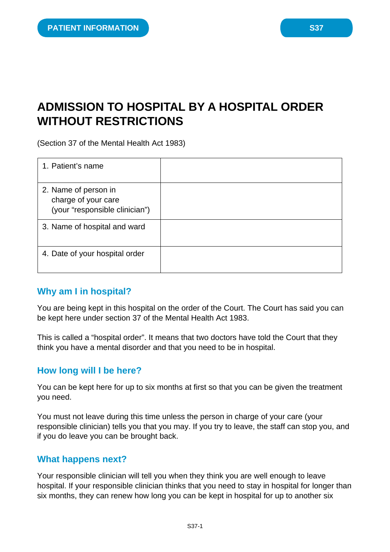# **ADMISSION TO HOSPITAL BY A HOSPITAL ORDER WITHOUT RESTRICTIONS**

(Section 37 of the Mental Health Act 1983)

| 1. Patient's name                                                             |  |
|-------------------------------------------------------------------------------|--|
| 2. Name of person in<br>charge of your care<br>(your "responsible clinician") |  |
| 3. Name of hospital and ward                                                  |  |
| 4. Date of your hospital order                                                |  |

### **Why am I in hospital?**

You are being kept in this hospital on the order of the Court. The Court has said you can be kept here under section 37 of the Mental Health Act 1983.

This is called a "hospital order". It means that two doctors have told the Court that they think you have a mental disorder and that you need to be in hospital.

## **How long will I be here?**

You can be kept here for up to six months at first so that you can be given the treatment you need.

You must not leave during this time unless the person in charge of your care (your responsible clinician) tells you that you may. If you try to leave, the staff can stop you, and if you do leave you can be brought back.

### **What happens next?**

Your responsible clinician will tell you when they think you are well enough to leave hospital. If your responsible clinician thinks that you need to stay in hospital for longer than six months, they can renew how long you can be kept in hospital for up to another six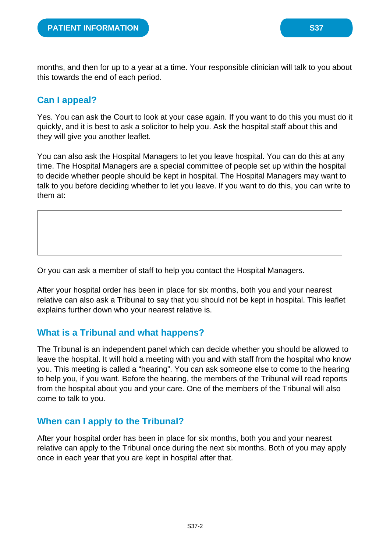months, and then for up to a year at a time. Your responsible clinician will talk to you about this towards the end of each period.

# **Can I appeal?**

Yes. You can ask the Court to look at your case again. If you want to do this you must do it quickly, and it is best to ask a solicitor to help you. Ask the hospital staff about this and they will give you another leaflet.

You can also ask the Hospital Managers to let you leave hospital. You can do this at any time. The Hospital Managers are a special committee of people set up within the hospital to decide whether people should be kept in hospital. The Hospital Managers may want to talk to you before deciding whether to let you leave. If you want to do this, you can write to them at:

Or you can ask a member of staff to help you contact the Hospital Managers.

After your hospital order has been in place for six months, both you and your nearest relative can also ask a Tribunal to say that you should not be kept in hospital. This leaflet explains further down who your nearest relative is.

### **What is a Tribunal and what happens?**

The Tribunal is an independent panel which can decide whether you should be allowed to leave the hospital. It will hold a meeting with you and with staff from the hospital who know you. This meeting is called a "hearing". You can ask someone else to come to the hearing to help you, if you want. Before the hearing, the members of the Tribunal will read reports from the hospital about you and your care. One of the members of the Tribunal will also come to talk to you.

## **When can I apply to the Tribunal?**

After your hospital order has been in place for six months, both you and your nearest relative can apply to the Tribunal once during the next six months. Both of you may apply once in each year that you are kept in hospital after that.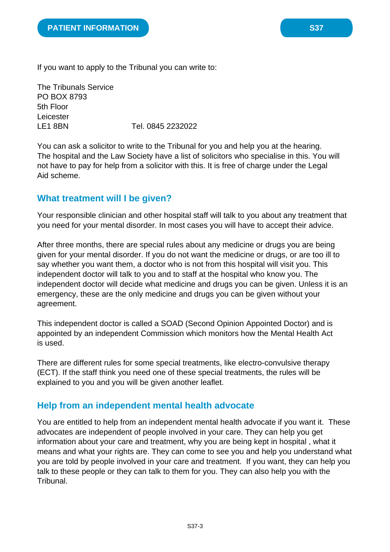If you want to apply to the Tribunal you can write to:

The Tribunals Service PO BOX 8793 5th Floor Leicester LE1 8BN Tel. 0845 2232022

You can ask a solicitor to write to the Tribunal for you and help you at the hearing. The hospital and the Law Society have a list of solicitors who specialise in this. You will not have to pay for help from a solicitor with this. It is free of charge under the Legal Aid scheme.

## **What treatment will I be given?**

Your responsible clinician and other hospital staff will talk to you about any treatment that you need for your mental disorder. In most cases you will have to accept their advice.

After three months, there are special rules about any medicine or drugs you are being given for your mental disorder. If you do not want the medicine or drugs, or are too ill to say whether you want them, a doctor who is not from this hospital will visit you. This independent doctor will talk to you and to staff at the hospital who know you. The independent doctor will decide what medicine and drugs you can be given. Unless it is an emergency, these are the only medicine and drugs you can be given without your agreement.

This independent doctor is called a SOAD (Second Opinion Appointed Doctor) and is appointed by an independent Commission which monitors how the Mental Health Act is used.

There are different rules for some special treatments, like electro-convulsive therapy (ECT). If the staff think you need one of these special treatments, the rules will be explained to you and you will be given another leaflet.

### **Help from an independent mental health advocate**

You are entitled to help from an independent mental health advocate if you want it. These advocates are independent of people involved in your care. They can help you get information about your care and treatment, why you are being kept in hospital , what it means and what your rights are. They can come to see you and help you understand what you are told by people involved in your care and treatment. If you want, they can help you talk to these people or they can talk to them for you. They can also help you with the Tribunal.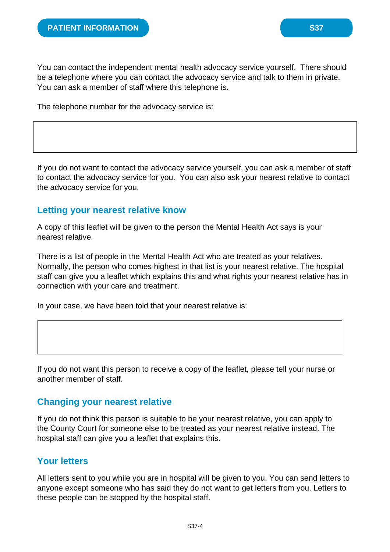You can contact the independent mental health advocacy service yourself. There should be a telephone where you can contact the advocacy service and talk to them in private. You can ask a member of staff where this telephone is.

The telephone number for the advocacy service is:

If you do not want to contact the advocacy service yourself, you can ask a member of staff to contact the advocacy service for you. You can also ask your nearest relative to contact the advocacy service for you.

#### **Letting your nearest relative know**

A copy of this leaflet will be given to the person the Mental Health Act says is your nearest relative.

There is a list of people in the Mental Health Act who are treated as your relatives. Normally, the person who comes highest in that list is your nearest relative. The hospital staff can give you a leaflet which explains this and what rights your nearest relative has in connection with your care and treatment.

In your case, we have been told that your nearest relative is:

If you do not want this person to receive a copy of the leaflet, please tell your nurse or another member of staff.

#### **Changing your nearest relative**

If you do not think this person is suitable to be your nearest relative, you can apply to the County Court for someone else to be treated as your nearest relative instead. The hospital staff can give you a leaflet that explains this.

### **Your letters**

All letters sent to you while you are in hospital will be given to you. You can send letters to anyone except someone who has said they do not want to get letters from you. Letters to these people can be stopped by the hospital staff.